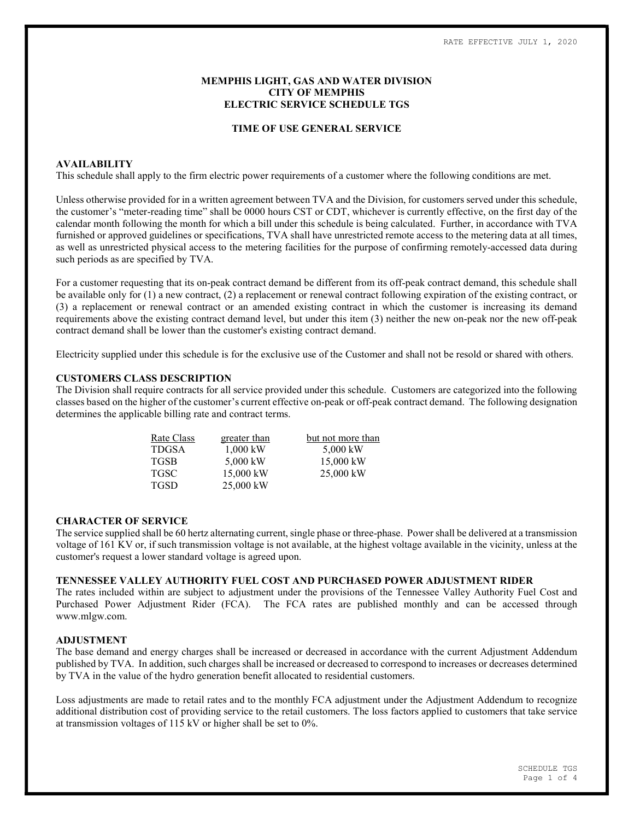# MEMPHIS LIGHT, GAS AND WATER DIVISION CITY OF MEMPHIS ELECTRIC SERVICE SCHEDULE TGS

#### TIME OF USE GENERAL SERVICE

### AVAILABILITY

This schedule shall apply to the firm electric power requirements of a customer where the following conditions are met.

Unless otherwise provided for in a written agreement between TVA and the Division, for customers served under this schedule, the customer's "meter-reading time" shall be 0000 hours CST or CDT, whichever is currently effective, on the first day of the calendar month following the month for which a bill under this schedule is being calculated. Further, in accordance with TVA furnished or approved guidelines or specifications, TVA shall have unrestricted remote access to the metering data at all times, as well as unrestricted physical access to the metering facilities for the purpose of confirming remotely-accessed data during such periods as are specified by TVA.

For a customer requesting that its on-peak contract demand be different from its off-peak contract demand, this schedule shall be available only for (1) a new contract, (2) a replacement or renewal contract following expiration of the existing contract, or (3) a replacement or renewal contract or an amended existing contract in which the customer is increasing its demand requirements above the existing contract demand level, but under this item (3) neither the new on-peak nor the new off-peak contract demand shall be lower than the customer's existing contract demand.

Electricity supplied under this schedule is for the exclusive use of the Customer and shall not be resold or shared with others.

# CUSTOMERS CLASS DESCRIPTION

The Division shall require contracts for all service provided under this schedule. Customers are categorized into the following classes based on the higher of the customer's current effective on-peak or off-peak contract demand. The following designation determines the applicable billing rate and contract terms.

| Rate Class   | greater than | but not more than |  |  |  |
|--------------|--------------|-------------------|--|--|--|
| <b>TDGSA</b> | $1.000$ kW   | 5,000 kW          |  |  |  |
| <b>TGSB</b>  | 5,000 kW     | 15,000 kW         |  |  |  |
| <b>TGSC</b>  | 15,000 kW    | 25,000 kW         |  |  |  |
| <b>TGSD</b>  | 25,000 kW    |                   |  |  |  |

#### CHARACTER OF SERVICE

The service supplied shall be 60 hertz alternating current, single phase or three-phase. Power shall be delivered at a transmission voltage of 161 KV or, if such transmission voltage is not available, at the highest voltage available in the vicinity, unless at the customer's request a lower standard voltage is agreed upon.

# TENNESSEE VALLEY AUTHORITY FUEL COST AND PURCHASED POWER ADJUSTMENT RIDER

The rates included within are subject to adjustment under the provisions of the Tennessee Valley Authority Fuel Cost and Purchased Power Adjustment Rider (FCA). The FCA rates are published monthly and can be accessed through www.mlgw.com.

### ADJUSTMENT

The base demand and energy charges shall be increased or decreased in accordance with the current Adjustment Addendum published by TVA. In addition, such charges shall be increased or decreased to correspond to increases or decreases determined by TVA in the value of the hydro generation benefit allocated to residential customers.

Loss adjustments are made to retail rates and to the monthly FCA adjustment under the Adjustment Addendum to recognize additional distribution cost of providing service to the retail customers. The loss factors applied to customers that take service at transmission voltages of 115 kV or higher shall be set to 0%.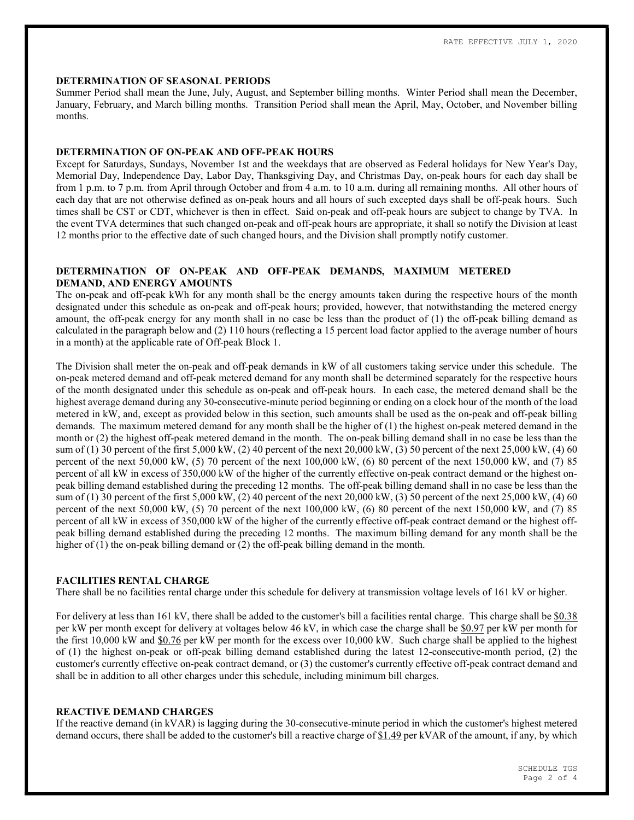#### DETERMINATION OF SEASONAL PERIODS

Summer Period shall mean the June, July, August, and September billing months. Winter Period shall mean the December, January, February, and March billing months. Transition Period shall mean the April, May, October, and November billing months.

#### DETERMINATION OF ON-PEAK AND OFF-PEAK HOURS

Except for Saturdays, Sundays, November 1st and the weekdays that are observed as Federal holidays for New Year's Day, Memorial Day, Independence Day, Labor Day, Thanksgiving Day, and Christmas Day, on-peak hours for each day shall be from 1 p.m. to 7 p.m. from April through October and from 4 a.m. to 10 a.m. during all remaining months. All other hours of each day that are not otherwise defined as on-peak hours and all hours of such excepted days shall be off-peak hours. Such times shall be CST or CDT, whichever is then in effect. Said on-peak and off-peak hours are subject to change by TVA. In the event TVA determines that such changed on-peak and off-peak hours are appropriate, it shall so notify the Division at least 12 months prior to the effective date of such changed hours, and the Division shall promptly notify customer.

# DETERMINATION OF ON-PEAK AND OFF-PEAK DEMANDS, MAXIMUM METERED DEMAND, AND ENERGY AMOUNTS

The on-peak and off-peak kWh for any month shall be the energy amounts taken during the respective hours of the month designated under this schedule as on-peak and off-peak hours; provided, however, that notwithstanding the metered energy amount, the off-peak energy for any month shall in no case be less than the product of (1) the off-peak billing demand as calculated in the paragraph below and (2) 110 hours (reflecting a 15 percent load factor applied to the average number of hours in a month) at the applicable rate of Off-peak Block 1.

The Division shall meter the on-peak and off-peak demands in kW of all customers taking service under this schedule. The on-peak metered demand and off-peak metered demand for any month shall be determined separately for the respective hours of the month designated under this schedule as on-peak and off-peak hours. In each case, the metered demand shall be the highest average demand during any 30-consecutive-minute period beginning or ending on a clock hour of the month of the load metered in kW, and, except as provided below in this section, such amounts shall be used as the on-peak and off-peak billing demands. The maximum metered demand for any month shall be the higher of (1) the highest on-peak metered demand in the month or (2) the highest off-peak metered demand in the month. The on-peak billing demand shall in no case be less than the sum of (1) 30 percent of the first 5,000 kW, (2) 40 percent of the next 20,000 kW, (3) 50 percent of the next 25,000 kW, (4) 60 percent of the next 50,000 kW, (5) 70 percent of the next 100,000 kW, (6) 80 percent of the next 150,000 kW, and (7) 85 percent of all kW in excess of 350,000 kW of the higher of the currently effective on-peak contract demand or the highest onpeak billing demand established during the preceding 12 months. The off-peak billing demand shall in no case be less than the sum of (1) 30 percent of the first 5,000 kW, (2) 40 percent of the next 20,000 kW, (3) 50 percent of the next 25,000 kW, (4) 60 percent of the next  $50,000$  kW,  $(5)$  70 percent of the next  $100,000$  kW,  $(6)$  80 percent of the next  $150,000$  kW, and  $(7)$  85 percent of all kW in excess of 350,000 kW of the higher of the currently effective off-peak contract demand or the highest offpeak billing demand established during the preceding 12 months. The maximum billing demand for any month shall be the higher of (1) the on-peak billing demand or (2) the off-peak billing demand in the month.

# FACILITIES RENTAL CHARGE

There shall be no facilities rental charge under this schedule for delivery at transmission voltage levels of 161 kV or higher.

For delivery at less than 161 kV, there shall be added to the customer's bill a facilities rental charge. This charge shall be \$0.38 per kW per month except for delivery at voltages below 46 kV, in which case the charge shall be \$0.97 per kW per month for the first 10,000 kW and \$0.76 per kW per month for the excess over 10,000 kW. Such charge shall be applied to the highest of (1) the highest on-peak or off-peak billing demand established during the latest 12-consecutive-month period, (2) the customer's currently effective on-peak contract demand, or (3) the customer's currently effective off-peak contract demand and shall be in addition to all other charges under this schedule, including minimum bill charges.

# REACTIVE DEMAND CHARGES

If the reactive demand (in kVAR) is lagging during the 30-consecutive-minute period in which the customer's highest metered demand occurs, there shall be added to the customer's bill a reactive charge of \$1.49 per kVAR of the amount, if any, by which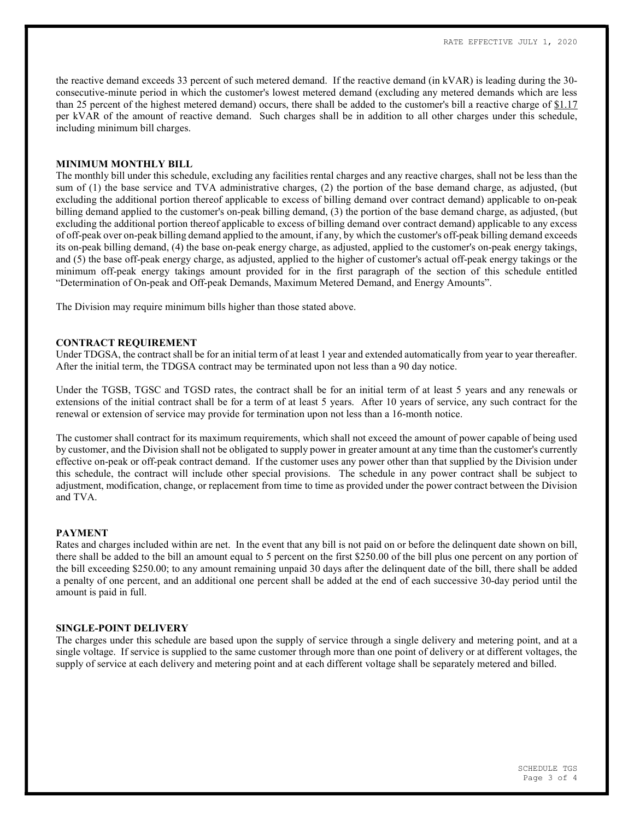the reactive demand exceeds 33 percent of such metered demand. If the reactive demand (in kVAR) is leading during the 30 consecutive-minute period in which the customer's lowest metered demand (excluding any metered demands which are less than 25 percent of the highest metered demand) occurs, there shall be added to the customer's bill a reactive charge of \$1.17 per kVAR of the amount of reactive demand. Such charges shall be in addition to all other charges under this schedule, including minimum bill charges.

### MINIMUM MONTHLY BILL

The monthly bill under this schedule, excluding any facilities rental charges and any reactive charges, shall not be less than the sum of (1) the base service and TVA administrative charges, (2) the portion of the base demand charge, as adjusted, (but excluding the additional portion thereof applicable to excess of billing demand over contract demand) applicable to on-peak billing demand applied to the customer's on-peak billing demand, (3) the portion of the base demand charge, as adjusted, (but excluding the additional portion thereof applicable to excess of billing demand over contract demand) applicable to any excess of off-peak over on-peak billing demand applied to the amount, if any, by which the customer's off-peak billing demand exceeds its on-peak billing demand, (4) the base on-peak energy charge, as adjusted, applied to the customer's on-peak energy takings, and (5) the base off-peak energy charge, as adjusted, applied to the higher of customer's actual off-peak energy takings or the minimum off-peak energy takings amount provided for in the first paragraph of the section of this schedule entitled "Determination of On-peak and Off-peak Demands, Maximum Metered Demand, and Energy Amounts".

The Division may require minimum bills higher than those stated above.

# CONTRACT REQUIREMENT

Under TDGSA, the contract shall be for an initial term of at least 1 year and extended automatically from year to year thereafter. After the initial term, the TDGSA contract may be terminated upon not less than a 90 day notice.

Under the TGSB, TGSC and TGSD rates, the contract shall be for an initial term of at least 5 years and any renewals or extensions of the initial contract shall be for a term of at least 5 years. After 10 years of service, any such contract for the renewal or extension of service may provide for termination upon not less than a 16-month notice.

The customer shall contract for its maximum requirements, which shall not exceed the amount of power capable of being used by customer, and the Division shall not be obligated to supply power in greater amount at any time than the customer's currently effective on-peak or off-peak contract demand. If the customer uses any power other than that supplied by the Division under this schedule, the contract will include other special provisions. The schedule in any power contract shall be subject to adjustment, modification, change, or replacement from time to time as provided under the power contract between the Division and TVA.

#### PAYMENT

Rates and charges included within are net. In the event that any bill is not paid on or before the delinquent date shown on bill, there shall be added to the bill an amount equal to 5 percent on the first \$250.00 of the bill plus one percent on any portion of the bill exceeding \$250.00; to any amount remaining unpaid 30 days after the delinquent date of the bill, there shall be added a penalty of one percent, and an additional one percent shall be added at the end of each successive 30-day period until the amount is paid in full.

#### SINGLE-POINT DELIVERY

The charges under this schedule are based upon the supply of service through a single delivery and metering point, and at a single voltage. If service is supplied to the same customer through more than one point of delivery or at different voltages, the supply of service at each delivery and metering point and at each different voltage shall be separately metered and billed.